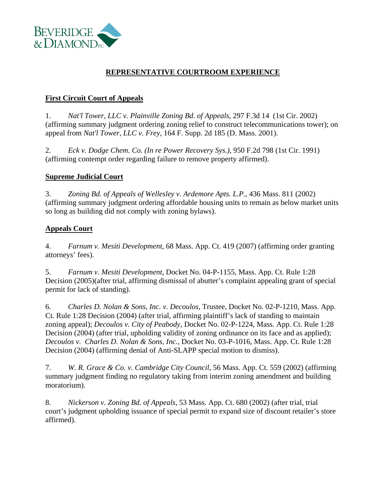

# **REPRESENTATIVE COURTROOM EXPERIENCE**

### **First Circuit Court of Appeals**

1. *Nat'l Tower, LLC v. Plainville Zoning Bd. of Appeals*, 297 F.3d 14 (1st Cir. 2002) (affirming summary judgment ordering zoning relief to construct telecommunications tower); on appeal from *Nat'l Tower, LLC v. Frey,* 164 F. Supp. 2d 185 (D. Mass. 2001).

2. *Eck v. Dodge Chem. Co. (In re Power Recovery Sys.)*, 950 F.2d 798 (1st Cir. 1991) (affirming contempt order regarding failure to remove property affirmed).

#### **Supreme Judicial Court**

3. *Zoning Bd. of Appeals of Wellesley v. Ardemore Apts. L.P.*, 436 Mass. 811 (2002) (affirming summary judgment ordering affordable housing units to remain as below market units so long as building did not comply with zoning bylaws).

### **Appeals Court**

4. *Farnum v. Mesiti Development*, 68 Mass. App. Ct. 419 (2007) (affirming order granting attorneys' fees).

5. *Farnum v. Mesiti Development*, Docket No. 04-P-1155, Mass. App. Ct. Rule 1:28 Decision (2005)(after trial, affirming dismissal of abutter's complaint appealing grant of special permit for lack of standing).

6. *Charles D. Nolan & Sons, Inc. v. Decoulos*, Trustee, Docket No. 02-P-1210, Mass. App. Ct. Rule 1:28 Decision (2004) (after trial, affirming plaintiff's lack of standing to maintain zoning appeal); *Decoulos v. City of Peabody*, Docket No. 02-P-1224, Mass. App. Ct. Rule 1:28 Decision (2004) (after trial, upholding validity of zoning ordinance on its face and as applied); *Decoulos v. Charles D. Nolan & Sons, Inc.,* Docket No. 03-P-1016, Mass. App. Ct. Rule 1:28 Decision (2004) (affirming denial of Anti-SLAPP special motion to dismiss).

7. *W. R. Grace & Co. v. Cambridge City Council*, 56 Mass. App. Ct. 559 (2002) (affirming summary judgment finding no regulatory taking from interim zoning amendment and building moratorium).

8. *Nickerson v. Zoning Bd. of Appeals*, 53 Mass. App. Ct. 680 (2002) (after trial, trial court's judgment upholding issuance of special permit to expand size of discount retailer's store affirmed).